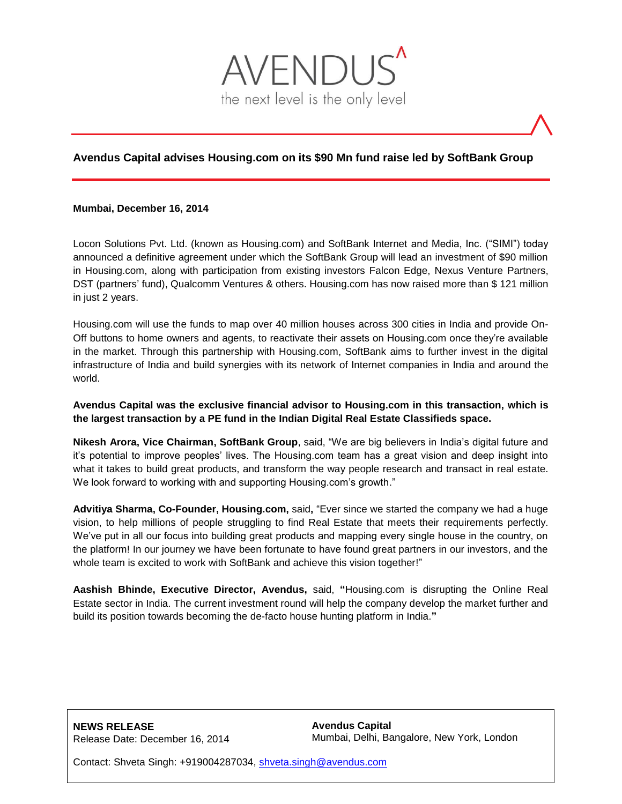

# **Avendus Capital advises Housing.com on its \$90 Mn fund raise led by SoftBank Group**

## **Mumbai, December 16, 2014**

Locon Solutions Pvt. Ltd. (known as Housing.com) and SoftBank Internet and Media, Inc. ("SIMI") today announced a definitive agreement under which the SoftBank Group will lead an investment of \$90 million in Housing.com, along with participation from existing investors Falcon Edge, Nexus Venture Partners, DST (partners' fund), Qualcomm Ventures & others. Housing.com has now raised more than \$ 121 million in just 2 years.

Housing.com will use the funds to map over 40 million houses across 300 cities in India and provide On-Off buttons to home owners and agents, to reactivate their assets on Housing.com once they're available in the market. Through this partnership with Housing.com, SoftBank aims to further invest in the digital infrastructure of India and build synergies with its network of Internet companies in India and around the world.

## **Avendus Capital was the exclusive financial advisor to Housing.com in this transaction, which is the largest transaction by a PE fund in the Indian Digital Real Estate Classifieds space.**

**Nikesh Arora, Vice Chairman, SoftBank Group**, said, "We are big believers in India's digital future and it's potential to improve peoples' lives. The Housing.com team has a great vision and deep insight into what it takes to build great products, and transform the way people research and transact in real estate. We look forward to working with and supporting Housing.com's growth."

**Advitiya Sharma, Co-Founder, Housing.com,** said**,** "Ever since we started the company we had a huge vision, to help millions of people struggling to find Real Estate that meets their requirements perfectly. We've put in all our focus into building great products and mapping every single house in the country, on the platform! In our journey we have been fortunate to have found great partners in our investors, and the whole team is excited to work with SoftBank and achieve this vision together!"

**Aashish Bhinde, Executive Director, Avendus,** said, **"**Housing.com is disrupting the Online Real Estate sector in India. The current investment round will help the company develop the market further and build its position towards becoming the de-facto house hunting platform in India.**"**

**NEWS RELEASE** Release Date: December 16, 2014 **Avendus Capital** Mumbai, Delhi, Bangalore, New York, London

Contact: Shveta Singh: +919004287034, [shveta.singh@avendus.com](mailto:shveta.singh@avendus.com)